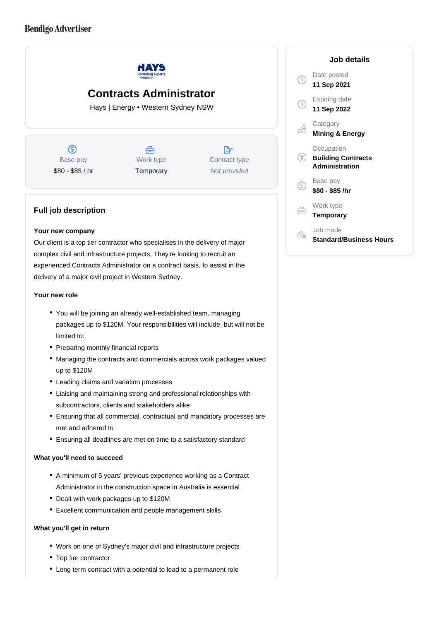# **Bendigo Advertiser**



Our client is a top tier contractor who specialises in the delivery of major complex civil and infrastructure projects. They're looking to recruit an experienced Contracts Administrator on a contract basis, to assist in the delivery of a major civil project in Western Sydney.

#### **Your new role**

- You will be joining an already well-established team, managing packages up to \$120M. Your responsibilities will include, but will not be limited to:
- Preparing monthly financial reports
- Managing the contracts and commercials across work packages valued up to \$120M
- Leading claims and variation processes
- Liaising and maintaining strong and professional relationships with subcontractors, clients and stakeholders alike
- Ensuring that all commercial. contractual and mandatory processes are met and adhered to
- Ensuring all deadlines are met on time to a satisfactory standard

### **What you'll need to succeed**

- A minimum of 5 years' previous experience working as a Contract Administrator in the construction space in Australia is essential
- Dealt with work packages up to \$120M
- Excellent communication and people management skills

#### **What you'll get in return**

- Work on one of Sydney's major civil and infrastructure projects
- Top tier contractor
- Long term contract with a potential to lead to a permanent role

| Job details                                                      |
|------------------------------------------------------------------|
| Date posted<br>11 Sep 2021                                       |
| Expiring date<br>11 Sep 2022                                     |
| Category<br><b>Mining &amp; Energy</b>                           |
| Occupation<br><b>Building Contracts</b><br><b>Administration</b> |
| Base pay<br>\$80 - \$85 /hr                                      |
| Work type<br>Temporary                                           |
| Job mode<br>Standard/Business Hours                              |